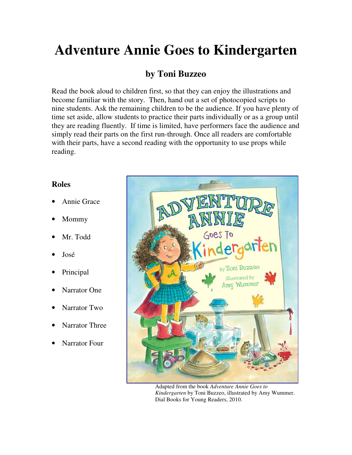## **Adventure Annie Goes to Kindergarten**

## **by Toni Buzzeo**

Read the book aloud to children first, so that they can enjoy the illustrations and become familiar with the story. Then, hand out a set of photocopied scripts to nine students. Ask the remaining children to be the audience. If you have plenty of time set aside, allow students to practice their parts individually or as a group until they are reading fluently. If time is limited, have performers face the audience and simply read their parts on the first run-through. Once all readers are comfortable with their parts, have a second reading with the opportunity to use props while reading.

## **Roles**

- Annie Grace
- Mommy
- Mr. Todd
- José
- Principal
- Narrator One
- Narrator Two
- Narrator Three
- Narrator Four



Adapted from the book *Adventure Annie Goes to Kindergarten* by Toni Buzzeo, illustrated by Amy Wummer. Dial Books for Young Readers, 2010.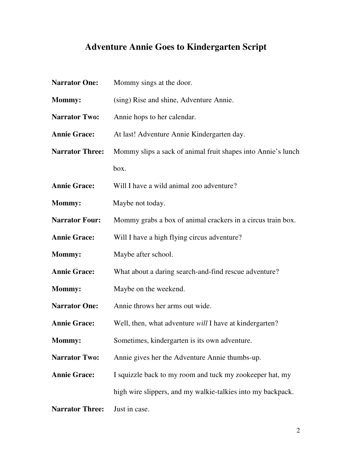## **Adventure Annie Goes to Kindergarten Script**

| <b>Narrator One:</b>   | Mommy sings at the door.                                     |
|------------------------|--------------------------------------------------------------|
| <b>Mommy:</b>          | (sing) Rise and shine, Adventure Annie.                      |
| <b>Narrator Two:</b>   | Annie hops to her calendar.                                  |
| <b>Annie Grace:</b>    | At last! Adventure Annie Kindergarten day.                   |
| <b>Narrator Three:</b> | Mommy slips a sack of animal fruit shapes into Annie's lunch |
|                        | box.                                                         |
| <b>Annie Grace:</b>    | Will I have a wild animal zoo adventure?                     |
| <b>Mommy:</b>          | Maybe not today.                                             |
| <b>Narrator Four:</b>  | Mommy grabs a box of animal crackers in a circus train box.  |
| <b>Annie Grace:</b>    | Will I have a high flying circus adventure?                  |
| <b>Mommy:</b>          | Maybe after school.                                          |
| <b>Annie Grace:</b>    | What about a daring search-and-find rescue adventure?        |
| <b>Mommy:</b>          | Maybe on the weekend.                                        |
| <b>Narrator One:</b>   | Annie throws her arms out wide.                              |
| <b>Annie Grace:</b>    | Well, then, what adventure will I have at kindergarten?      |
| Mommy:                 | Sometimes, kindergarten is its own adventure.                |
| <b>Narrator Two:</b>   | Annie gives her the Adventure Annie thumbs-up.               |
| <b>Annie Grace:</b>    | I squizzle back to my room and tuck my zookeeper hat, my     |
|                        | high wire slippers, and my walkie-talkies into my backpack.  |
| <b>Narrator Three:</b> | Just in case.                                                |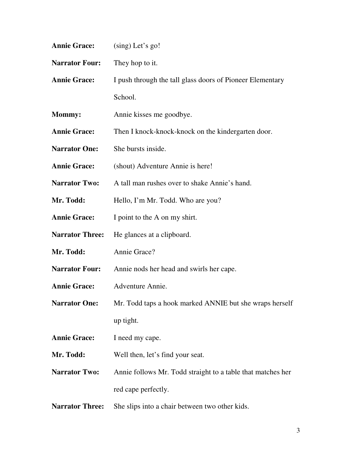| <b>Annie Grace:</b>    | $(sing)$ Let's go!                                          |
|------------------------|-------------------------------------------------------------|
| <b>Narrator Four:</b>  | They hop to it.                                             |
| <b>Annie Grace:</b>    | I push through the tall glass doors of Pioneer Elementary   |
|                        | School.                                                     |
| Mommy:                 | Annie kisses me goodbye.                                    |
| <b>Annie Grace:</b>    | Then I knock-knock-knock on the kindergarten door.          |
| <b>Narrator One:</b>   | She bursts inside.                                          |
| <b>Annie Grace:</b>    | (shout) Adventure Annie is here!                            |
| <b>Narrator Two:</b>   | A tall man rushes over to shake Annie's hand.               |
| Mr. Todd:              | Hello, I'm Mr. Todd. Who are you?                           |
| <b>Annie Grace:</b>    | I point to the A on my shirt.                               |
| <b>Narrator Three:</b> | He glances at a clipboard.                                  |
| Mr. Todd:              | Annie Grace?                                                |
| <b>Narrator Four:</b>  | Annie nods her head and swirls her cape.                    |
| <b>Annie Grace:</b>    | Adventure Annie.                                            |
| <b>Narrator One:</b>   | Mr. Todd taps a hook marked ANNIE but she wraps herself     |
|                        | up tight.                                                   |
| <b>Annie Grace:</b>    | I need my cape.                                             |
| Mr. Todd:              | Well then, let's find your seat.                            |
| <b>Narrator Two:</b>   | Annie follows Mr. Todd straight to a table that matches her |
|                        | red cape perfectly.                                         |
| <b>Narrator Three:</b> | She slips into a chair between two other kids.              |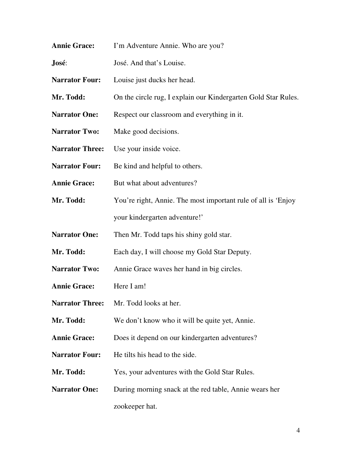- **Annie Grace:** I'm Adventure Annie. Who are you?
- **José**: José. And that's Louise.
- **Narrator Four:** Louise just ducks her head.
- Mr. Todd: On the circle rug, I explain our Kindergarten Gold Star Rules.
- **Narrator One:** Respect our classroom and everything in it.
- Narrator Two: Make good decisions.
- **Narrator Three:** Use your inside voice.
- Narrator Four: Be kind and helpful to others.
- **Annie Grace:** But what about adventures?
- **Mr. Todd:** You're right, Annie. The most important rule of all is 'Enjoy' your kindergarten adventure!'
- **Narrator One:** Then Mr. Todd taps his shiny gold star.
- Mr. Todd: Each day, I will choose my Gold Star Deputy.
- **Narrator Two:** Annie Grace waves her hand in big circles.
- Annie Grace: Here I am!
- **Narrator Three:** Mr. Todd looks at her.
- Mr. Todd: We don't know who it will be quite yet, Annie.
- Annie Grace: Does it depend on our kindergarten adventures?
- **Narrator Four:** He tilts his head to the side.
- Mr. Todd: Yes, your adventures with the Gold Star Rules.
- **Narrator One:** During morning snack at the red table, Annie wears her zookeeper hat.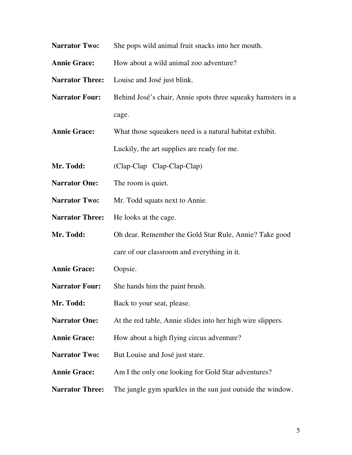- **Narrator Two:** She pops wild animal fruit snacks into her mouth.
- **Annie Grace:** How about a wild animal zoo adventure?

**Narrator Three:** Louise and José just blink.

- **Narrator Four:** Behind José's chair, Annie spots three squeaky hamsters in a cage.
- **Annie Grace:** What those squeakers need is a natural habitat exhibit.

Luckily, the art supplies are ready for me.

**Mr. Todd:** (Clap-Clap Clap-Clap-Clap)

- **Narrator One:** The room is quiet.
- **Narrator Two:** Mr. Todd squats next to Annie.
- Narrator Three: He looks at the cage.
- **Mr. Todd:** Oh dear. Remember the Gold Star Rule, Annie? Take good care of our classroom and everything in it.
- **Annie Grace:** Oopsie.
- **Narrator Four:** She hands him the paint brush.
- **Mr. Todd:** Back to your seat, please.
- **Narrator One:** At the red table, Annie slides into her high wire slippers.
- **Annie Grace:** How about a high flying circus adventure?
- **Narrator Two:** But Louise and José just stare.
- Annie Grace: Am I the only one looking for Gold Star adventures?
- **Narrator Three:** The jungle gym sparkles in the sun just outside the window.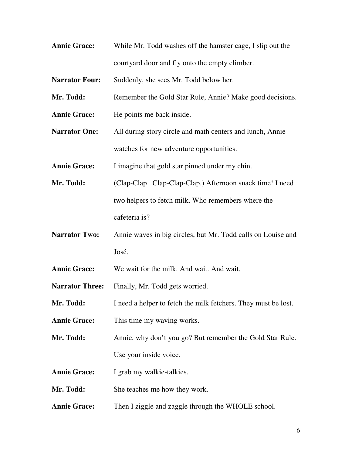**Annie Grace:** While Mr. Todd washes off the hamster cage, I slip out the courtyard door and fly onto the empty climber.

**Narrator Four:** Suddenly, she sees Mr. Todd below her.

- **Mr. Todd:** Remember the Gold Star Rule, Annie? Make good decisions.
- Annie Grace: He points me back inside.
- **Narrator One:** All during story circle and math centers and lunch, Annie watches for new adventure opportunities.

**Annie Grace:** I imagine that gold star pinned under my chin.

- **Mr. Todd:** (Clap-Clap Clap-Clap-Clap.) Afternoon snack time! I need two helpers to fetch milk. Who remembers where the cafeteria is?
- **Narrator Two:** Annie waves in big circles, but Mr. Todd calls on Louise and José.

**Annie Grace:** We wait for the milk. And wait. And wait.

Narrator Three: Finally, Mr. Todd gets worried.

Mr. Todd: I need a helper to fetch the milk fetchers. They must be lost.

**Annie Grace:** This time my waving works.

**Mr. Todd:** Annie, why don't you go? But remember the Gold Star Rule. Use your inside voice.

**Annie Grace:** I grab my walkie-talkies.

**Mr. Todd:** She teaches me how they work.

Annie Grace: Then I ziggle and zaggle through the WHOLE school.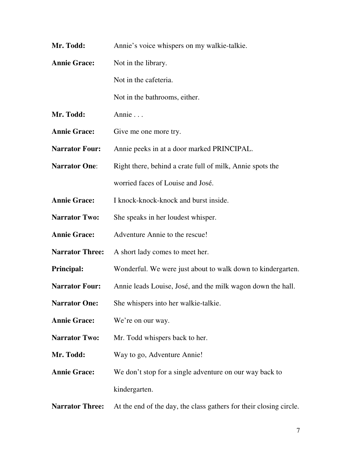- **Mr. Todd:** Annie's voice whispers on my walkie-talkie. Annie Grace: Not in the library. Not in the cafeteria. Not in the bathrooms, either. **Mr. Todd: Annie ...** Annie Grace: Give me one more try. **Narrator Four:** Annie peeks in at a door marked PRINCIPAL. **Narrator One:** Right there, behind a crate full of milk, Annie spots the worried faces of Louise and José. **Annie Grace:** I knock-knock-knock and burst inside. **Narrator Two:** She speaks in her loudest whisper. Annie Grace: Adventure Annie to the rescue! **Narrator Three:** A short lady comes to meet her. **Principal:** Wonderful. We were just about to walk down to kindergarten. Narrator Four: Annie leads Louise, José, and the milk wagon down the hall. **Narrator One:** She whispers into her walkie-talkie. **Annie Grace:** We're on our way. Narrator Two: Mr. Todd whispers back to her. Mr. Todd: Way to go, Adventure Annie!
- **Annie Grace:** We don't stop for a single adventure on our way back to kindergarten.
- **Narrator Three:** At the end of the day, the class gathers for their closing circle.